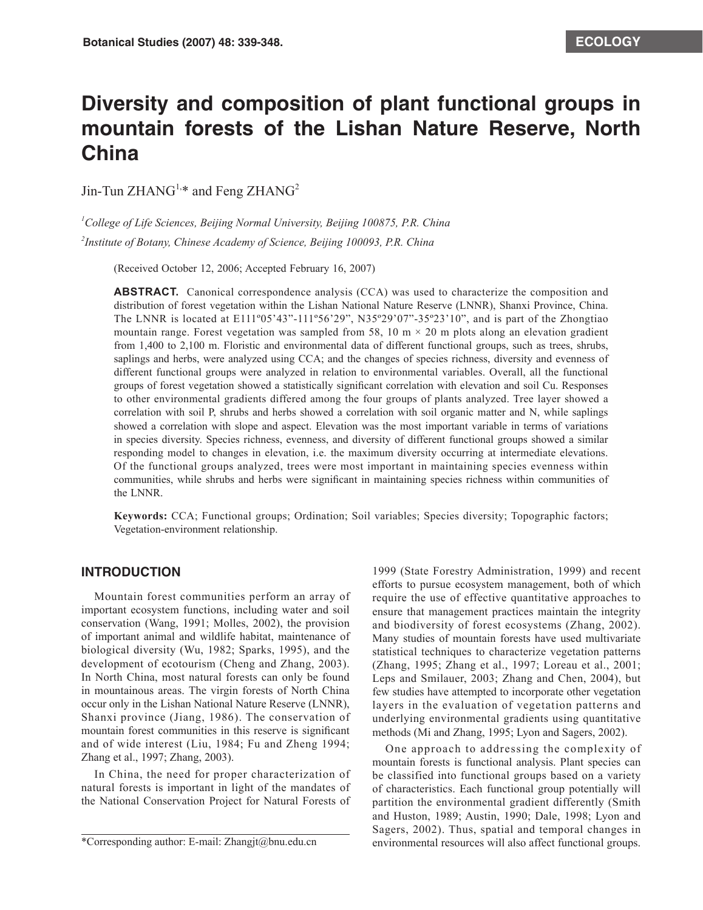# **Diversity and composition of plant functional groups in mountain forests of the Lishan Nature Reserve, North China**

Jin-Tun  $ZHANG^{1,*}$  and Feng  $ZHANG^2$ 

*1 College of Life Sciences, Beijing Normal University, Beijing 100875, P.R. China*

*2 Institute of Botany, Chinese Academy of Science, Beijing 100093, P.R. China*

(Received October 12, 2006; Accepted February 16, 2007)

**ABSTRACT.** Canonical correspondence analysis (CCA) was used to characterize the composition and distribution of forest vegetation within the Lishan National Nature Reserve (LNNR), Shanxi Province, China. The LNNR is located at  $E111^{\circ}05'43"$ -111°56'29", N35°29'07"-35°23'10", and is part of the Zhongtiao mountain range. Forest vegetation was sampled from 58, 10 m  $\times$  20 m plots along an elevation gradient from 1,400 to 2,100 m. Floristic and environmental data of different functional groups, such as trees, shrubs, saplings and herbs, were analyzed using CCA; and the changes of species richness, diversity and evenness of different functional groups were analyzed in relation to environmental variables. Overall, all the functional groups of forest vegetation showed a statistically significant correlation with elevation and soil Cu. Responses to other environmental gradients differed among the four groups of plants analyzed. Tree layer showed a correlation with soil P, shrubs and herbs showed a correlation with soil organic matter and N, while saplings showed a correlation with slope and aspect. Elevation was the most important variable in terms of variations in species diversity. Species richness, evenness, and diversity of different functional groups showed a similar responding model to changes in elevation, i.e. the maximum diversity occurring at intermediate elevations. Of the functional groups analyzed, trees were most important in maintaining species evenness within communities, while shrubs and herbs were significant in maintaining species richness within communities of the LNNR.

**Keywords:** CCA; Functional groups; Ordination; Soil variables; Species diversity; Topographic factors; Vegetation-environment relationship.

## **INTRODUCTION**

Mountain forest communities perform an array of important ecosystem functions, including water and soil conservation (Wang, 1991; Molles, 2002), the provision of important animal and wildlife habitat, maintenance of biological diversity (Wu, 1982; Sparks, 1995), and the development of ecotourism (Cheng and Zhang, 2003). In North China, most natural forests can only be found in mountainous areas. The virgin forests of North China occur only in the Lishan National Nature Reserve (LNNR), Shanxi province (Jiang, 1986). The conservation of mountain forest communities in this reserve is significant and of wide interest (Liu, 1984; Fu and Zheng 1994; Zhang et al., 1997; Zhang, 2003).

In China, the need for proper characterization of natural forests is important in light of the mandates of the National Conservation Project for Natural Forests of

\*Corresponding author: E-mail: Zhangjt@bnu.edu.cn

1999 (State Forestry Administration, 1999) and recent efforts to pursue ecosystem management, both of which require the use of effective quantitative approaches to ensure that management practices maintain the integrity and biodiversity of forest ecosystems (Zhang, 2002). Many studies of mountain forests have used multivariate statistical techniques to characterize vegetation patterns (Zhang, 1995; Zhang et al., 1997; Loreau et al., 2001; Leps and Smilauer, 2003; Zhang and Chen, 2004), but few studies have attempted to incorporate other vegetation layers in the evaluation of vegetation patterns and underlying environmental gradients using quantitative methods (Mi and Zhang, 1995; Lyon and Sagers, 2002).

One approach to addressing the complexity of mountain forests is functional analysis. Plant species can be classified into functional groups based on a variety of characteristics. Each functional group potentially will partition the environmental gradient differently (Smith and Huston, 1989; Austin, 1990; Dale, 1998; Lyon and Sagers, 2002). Thus, spatial and temporal changes in environmental resources will also affect functional groups.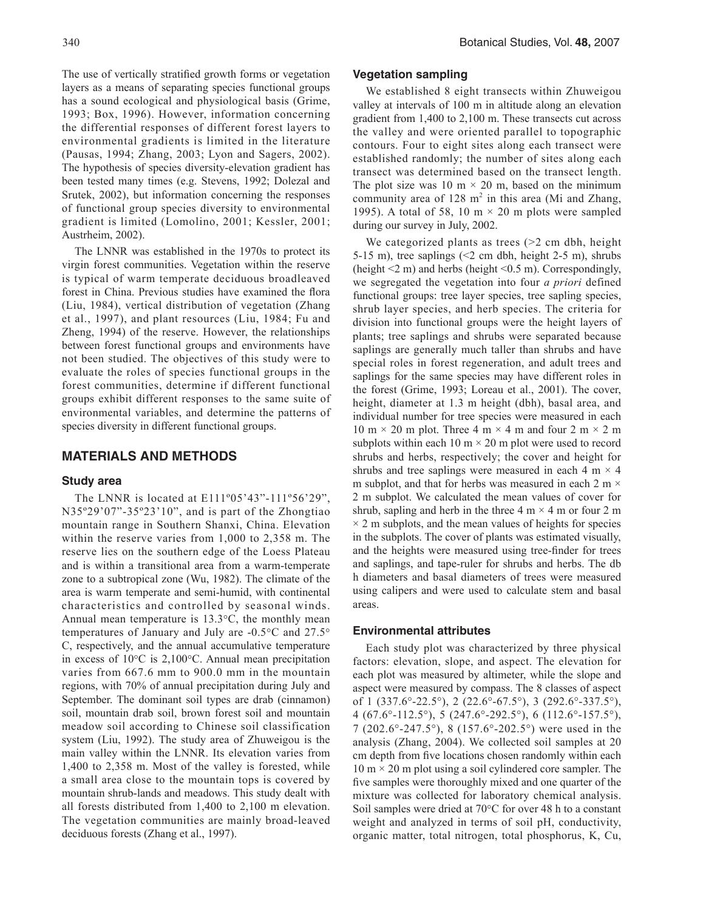The use of vertically stratified growth forms or vegetation layers as a means of separating species functional groups has a sound ecological and physiological basis (Grime, 1993; Box, 1996). However, information concerning the differential responses of different forest layers to environmental gradients is limited in the literature (Pausas, 1994; Zhang, 2003; Lyon and Sagers, 2002). The hypothesis of species diversity-elevation gradient has been tested many times (e.g. Stevens, 1992; Dolezal and Srutek, 2002), but information concerning the responses of functional group species diversity to environmental gradient is limited (Lomolino, 2001; Kessler, 2001; Austrheim, 2002).

The LNNR was established in the 1970s to protect its virgin forest communities. Vegetation within the reserve is typical of warm temperate deciduous broadleaved forest in China. Previous studies have examined the flora (Liu, 1984), vertical distribution of vegetation (Zhang et al., 1997), and plant resources (Liu, 1984; Fu and Zheng, 1994) of the reserve. However, the relationships between forest functional groups and environments have not been studied. The objectives of this study were to evaluate the roles of species functional groups in the forest communities, determine if different functional groups exhibit different responses to the same suite of environmental variables, and determine the patterns of species diversity in different functional groups.

### **MATERIALS AND METHODS**

#### **Study area**

The LNNR is located at E111º05'43"-111º56'29", N35º29'07"-35º23'10", and is part of the Zhongtiao mountain range in Southern Shanxi, China. Elevation within the reserve varies from 1,000 to 2,358 m. The reserve lies on the southern edge of the Loess Plateau and is within a transitional area from a warm-temperate zone to a subtropical zone (Wu, 1982). The climate of the area is warm temperate and semi-humid, with continental characteristics and controlled by seasonal winds. Annual mean temperature is 13.3°C, the monthly mean temperatures of January and July are -0.5°C and 27.5° C, respectively, and the annual accumulative temperature in excess of 10°C is 2,100°C. Annual mean precipitation varies from 667.6 mm to 900.0 mm in the mountain regions, with 70% of annual precipitation during July and September. The dominant soil types are drab (cinnamon) soil, mountain drab soil, brown forest soil and mountain meadow soil according to Chinese soil classification system (Liu, 1992). The study area of Zhuweigou is the main valley within the LNNR. Its elevation varies from 1,400 to 2,358 m. Most of the valley is forested, while a small area close to the mountain tops is covered by mountain shrub-lands and meadows. This study dealt with all forests distributed from 1,400 to 2,100 m elevation. The vegetation communities are mainly broad-leaved deciduous forests (Zhang et al., 1997).

#### **Vegetation sampling**

We established 8 eight transects within Zhuweigou valley at intervals of 100 m in altitude along an elevation gradient from 1,400 to 2,100 m. These transects cut across the valley and were oriented parallel to topographic contours. Four to eight sites along each transect were established randomly; the number of sites along each transect was determined based on the transect length. The plot size was 10 m  $\times$  20 m, based on the minimum community area of  $128 \text{ m}^2$  in this area (Mi and Zhang, 1995). A total of 58, 10 m  $\times$  20 m plots were sampled during our survey in July, 2002.

We categorized plants as trees  $(>= 2$  cm dbh, height 5-15 m), tree saplings  $(2 \text{ cm} \text{ dbh}, \text{ height } 2.5 \text{ m})$ , shrubs (height  $\leq$ 2 m) and herbs (height  $\leq$ 0.5 m). Correspondingly, we segregated the vegetation into four *a priori* defined functional groups: tree layer species, tree sapling species, shrub layer species, and herb species. The criteria for division into functional groups were the height layers of plants; tree saplings and shrubs were separated because saplings are generally much taller than shrubs and have special roles in forest regeneration, and adult trees and saplings for the same species may have different roles in the forest (Grime, 1993; Loreau et al., 2001). The cover, height, diameter at 1.3 m height (dbh), basal area, and individual number for tree species were measured in each 10 m  $\times$  20 m plot. Three 4 m  $\times$  4 m and four 2 m  $\times$  2 m subplots within each 10  $m \times 20$  m plot were used to record shrubs and herbs, respectively; the cover and height for shrubs and tree saplings were measured in each  $4 \text{ m} \times 4$ m subplot, and that for herbs was measured in each 2 m  $\times$ 2 m subplot. We calculated the mean values of cover for shrub, sapling and herb in the three  $4 \text{ m} \times 4 \text{ m}$  or four 2 m  $\times$  2 m subplots, and the mean values of heights for species in the subplots. The cover of plants was estimated visually, and the heights were measured using tree-finder for trees and saplings, and tape-ruler for shrubs and herbs. The db h diameters and basal diameters of trees were measured using calipers and were used to calculate stem and basal areas.

#### **Environmental attributes**

Each study plot was characterized by three physical factors: elevation, slope, and aspect. The elevation for each plot was measured by altimeter, while the slope and aspect were measured by compass. The 8 classes of aspect of 1 (337.6°-22.5°), 2 (22.6°-67.5°), 3 (292.6°-337.5°), 4 (67.6°-112.5°), 5 (247.6°-292.5°), 6 (112.6°-157.5°), 7 (202.6°-247.5°), 8 (157.6°-202.5°) were used in the analysis (Zhang, 2004). We collected soil samples at 20 cm depth from five locations chosen randomly within each  $10 \text{ m} \times 20 \text{ m}$  plot using a soil cylindered core sampler. The five samples were thoroughly mixed and one quarter of the mixture was collected for laboratory chemical analysis. Soil samples were dried at 70°C for over 48 h to a constant weight and analyzed in terms of soil pH, conductivity, organic matter, total nitrogen, total phosphorus, K, Cu,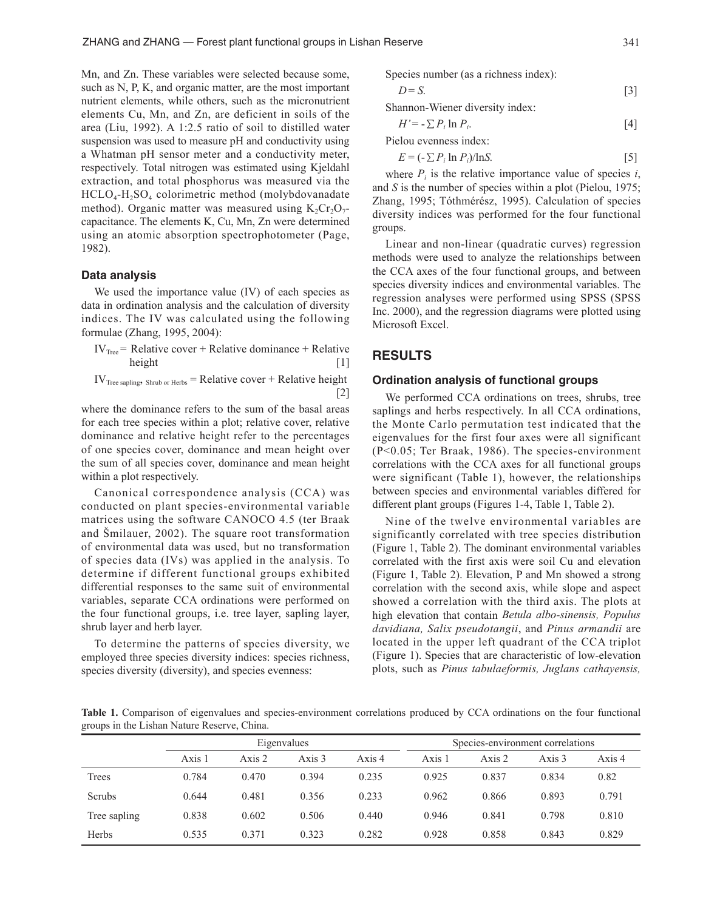Mn, and Zn. These variables were selected because some, such as N, P, K, and organic matter, are the most important nutrient elements, while others, such as the micronutrient elements Cu, Mn, and Zn, are deficient in soils of the area (Liu, 1992). A 1:2.5 ratio of soil to distilled water suspension was used to measure pH and conductivity using a Whatman pH sensor meter and a conductivity meter, respectively. Total nitrogen was estimated using Kjeldahl extraction, and total phosphorus was measured via the  $HCLO<sub>4</sub>-H<sub>2</sub>SO<sub>4</sub>$  colorimetric method (molybdovanadate method). Organic matter was measured using  $K_2Cr_2O_7$ capacitance. The elements K, Cu, Mn, Zn were determined using an atomic absorption spectrophotometer (Page, 1982).

#### **Data analysis**

We used the importance value (IV) of each species as data in ordination analysis and the calculation of diversity indices. The IV was calculated using the following formulae (Zhang, 1995, 2004):

 $IV<sub>Tree</sub>$  = Relative cover + Relative dominance + Relative height [1]

 $IV<sub>Tree sampling</sub>$ , Shrub or Herbs = Relative cover + Relative height [2]

where the dominance refers to the sum of the basal areas for each tree species within a plot; relative cover, relative dominance and relative height refer to the percentages of one species cover, dominance and mean height over the sum of all species cover, dominance and mean height within a plot respectively.

Canonical correspondence analysis (CCA) was conducted on plant species-environmental variable matrices using the software CANOCO 4.5 (ter Braak and Šmilauer, 2002). The square root transformation of environmental data was used, but no transformation of species data (IVs) was applied in the analysis. To determine if different functional groups exhibited differential responses to the same suit of environmental variables, separate CCA ordinations were performed on the four functional groups, i.e. tree layer, sapling layer, shrub layer and herb layer.

To determine the patterns of species diversity, we employed three species diversity indices: species richness, species diversity (diversity), and species evenness:

Species number (as a richness index):

$$
D = S.\t\t[3]
$$

Shannon-Wiener diversity index:

$$
H' = -\sum P_i \ln P_i. \tag{4}
$$

Pielou evenness index:

 $E = (-\sum P_i \ln P_i)/\ln S.$  [5]

where  $P_i$  is the relative importance value of species  $i$ , and *S* is the number of species within a plot (Pielou, 1975; Zhang, 1995; Tóthmérész, 1995). Calculation of species diversity indices was performed for the four functional groups.

Linear and non-linear (quadratic curves) regression methods were used to analyze the relationships between the CCA axes of the four functional groups, and between species diversity indices and environmental variables. The regression analyses were performed using SPSS (SPSS Inc. 2000), and the regression diagrams were plotted using Microsoft Excel.

# **RESULTS**

### **Ordination analysis of functional groups**

We performed CCA ordinations on trees, shrubs, tree saplings and herbs respectively. In all CCA ordinations, the Monte Carlo permutation test indicated that the eigenvalues for the first four axes were all significant (P<0.05; Ter Braak, 1986). The species-environment correlations with the CCA axes for all functional groups were significant (Table 1), however, the relationships between species and environmental variables differed for different plant groups (Figures 1-4, Table 1, Table 2).

Nine of the twelve environmental variables are significantly correlated with tree species distribution (Figure 1, Table 2). The dominant environmental variables correlated with the first axis were soil Cu and elevation (Figure 1, Table 2). Elevation, P and Mn showed a strong correlation with the second axis, while slope and aspect showed a correlation with the third axis. The plots at high elevation that contain *Betula albo-sinensis, Populus davidiana, Salix pseudotangii*, and *Pinus armandii* are located in the upper left quadrant of the CCA triplot (Figure 1). Species that are characteristic of low-elevation plots, such as *Pinus tabulaeformis, Juglans cathayensis,* 

**Table 1.** Comparison of eigenvalues and species-environment correlations produced by CCA ordinations on the four functional groups in the Lishan Nature Reserve, China.

|               |        |        | Eigenvalues |        | Species-environment correlations |        |        |        |
|---------------|--------|--------|-------------|--------|----------------------------------|--------|--------|--------|
|               | Axis 1 | Axis 2 | Axis 3      | Axis 4 | Axis 1                           | Axis 2 | Axis 3 | Axis 4 |
| Trees         | 0.784  | 0.470  | 0.394       | 0.235  | 0.925                            | 0.837  | 0.834  | 0.82   |
| <b>Scrubs</b> | 0.644  | 0.481  | 0.356       | 0.233  | 0.962                            | 0.866  | 0.893  | 0.791  |
| Tree sapling  | 0.838  | 0.602  | 0.506       | 0.440  | 0.946                            | 0.841  | 0.798  | 0.810  |
| <b>Herbs</b>  | 0.535  | 0.371  | 0.323       | 0.282  | 0.928                            | 0.858  | 0.843  | 0.829  |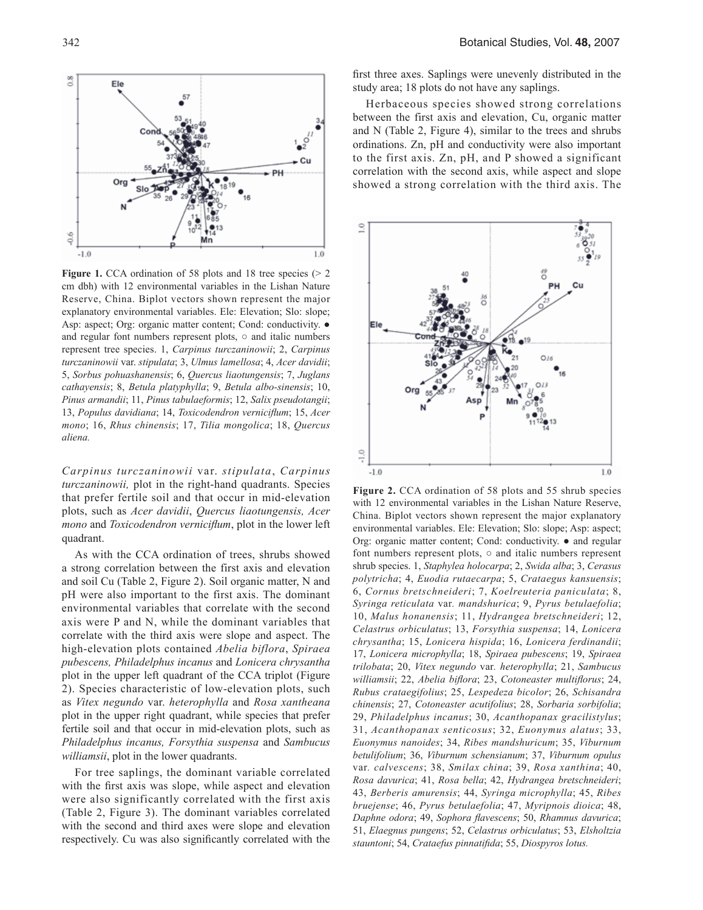

**Figure 1.** CCA ordination of 58 plots and 18 tree species ( $> 2$ cm dbh) with 12 environmental variables in the Lishan Nature Reserve, China. Biplot vectors shown represent the major explanatory environmental variables. Ele: Elevation; Slo: slope; Asp: aspect; Org: organic matter content; Cond: conductivity. ● and regular font numbers represent plots, ○ and italic numbers represent tree species. 1, *Carpinus turczaninowii*; 2, *Carpinus turczaninowii* var. *stipulata*; 3, *Ulmus lamellosa*; 4, *Acer davidii*; 5, *Sorbus pohuashanensis*; 6, *Quercus liaotungensis*; 7, *Juglans cathayensis*; 8, *Betula platyphylla*; 9, *Betula albo-sinensis*; 10, *Pinus armandii*; 11, *Pinus tabulaeformis*; 12, *Salix pseudotangii*; 13, *Populus davidiana*; 14, *Toxicodendron verniciflum*; 15, *Acer mono*; 16, *Rhus chinensis*; 17, *Tilia mongolica*; 18, *Quercus aliena.*

*Carpinus turczaninowii* var. *stipulata*, *Carpinus turczaninowii,* plot in the right-hand quadrants. Species that prefer fertile soil and that occur in mid-elevation plots, such as *Acer davidii*, *Quercus liaotungensis, Acer mono* and *Toxicodendron verniciflum*, plot in the lower left quadrant.

As with the CCA ordination of trees, shrubs showed a strong correlation between the first axis and elevation and soil Cu (Table 2, Figure 2). Soil organic matter, N and pH were also important to the first axis. The dominant environmental variables that correlate with the second axis were P and N, while the dominant variables that correlate with the third axis were slope and aspect. The high-elevation plots contained *Abelia biflora*, *Spiraea pubescens, Philadelphus incanus* and *Lonicera chrysantha* plot in the upper left quadrant of the CCA triplot (Figure 2). Species characteristic of low-elevation plots, such as *Vitex negundo* var. *heterophylla* and *Rosa xantheana*  plot in the upper right quadrant, while species that prefer fertile soil and that occur in mid-elevation plots, such as *Philadelphus incanus, Forsythia suspensa* and *Sambucus williamsii*, plot in the lower quadrants.

For tree saplings, the dominant variable correlated with the first axis was slope, while aspect and elevation were also significantly correlated with the first axis (Table 2, Figure 3). The dominant variables correlated with the second and third axes were slope and elevation respectively. Cu was also significantly correlated with the first three axes. Saplings were unevenly distributed in the study area; 18 plots do not have any saplings.

Herbaceous species showed strong correlations between the first axis and elevation, Cu, organic matter and N (Table 2, Figure 4), similar to the trees and shrubs ordinations. Zn, pH and conductivity were also important to the first axis. Zn, pH, and P showed a significant correlation with the second axis, while aspect and slope showed a strong correlation with the third axis. The



**Figure 2.** CCA ordination of 58 plots and 55 shrub species with 12 environmental variables in the Lishan Nature Reserve, China. Biplot vectors shown represent the major explanatory environmental variables. Ele: Elevation; Slo: slope; Asp: aspect; Org: organic matter content; Cond: conductivity. ● and regular font numbers represent plots,  $\circ$  and italic numbers represent shrub species. 1, *Staphylea holocarpa*; 2, *Swida alba*; 3, *Cerasus polytricha*; 4, *Euodia rutaecarpa*; 5, *Crataegus kansuensis*; 6, *Cornus bretschneideri*; 7, *Koelreuteria paniculata*; 8, *Syringa reticulata* var*. mandshurica*; 9, *Pyrus betulaefolia*; 10, *Malus honanensis*; 11, *Hydrangea bretschneideri*; 12, *Celastrus orbiculatus*; 13, *Forsythia suspensa*; 14, *Lonicera chrysantha*; 15, *Lonicera hispida*; 16, *Lonicera ferdinandii*; 17, *Lonicera microphylla*; 18, *Spiraea pubescens*; 19, *Spiraea trilobata*; 20, *Vitex negundo* var*. heterophylla*; 21, *Sambucus williamsii*; 22, *Abelia biflora*; 23, *Cotoneaster multiflorus*; 24, *Rubus crataegifolius*; 25, *Lespedeza bicolor*; 26, *Schisandra chinensis*; 27, *Cotoneaster acutifolius*; 28, *Sorbaria sorbifolia*; 29, *Philadelphus incanus*; 30, *Acanthopanax gracilistylus*; 31, *Acanthopanax senticosus*; 32, *Euonymus alatus*; 33, *Euonymus nanoides*; 34, *Ribes mandshuricum*; 35, *Viburnum betulifolium*; 36, *Viburnum schensianum*; 37, *Viburnum opulus*  var*. calvescens*; 38, *Smilax china*; 39, *Rosa xanthina*; 40, *Rosa davurica*; 41, *Rosa bella*; 42, *Hydrangea bretschneideri*; 43, *Berberis amurensis*; 44, *Syringa microphylla*; 45, *Ribes bruejense*; 46, *Pyrus betulaefolia*; 47, *Myripnois dioica*; 48, *Daphne odora*; 49, *Sophora flavescens*; 50, *Rhamnus davurica*; 51, *Elaegnus pungens*; 52, *Celastrus orbiculatus*; 53, *Elsholtzia stauntoni*; 54, *Crataefus pinnatifida*; 55, *Diospyros lotus.*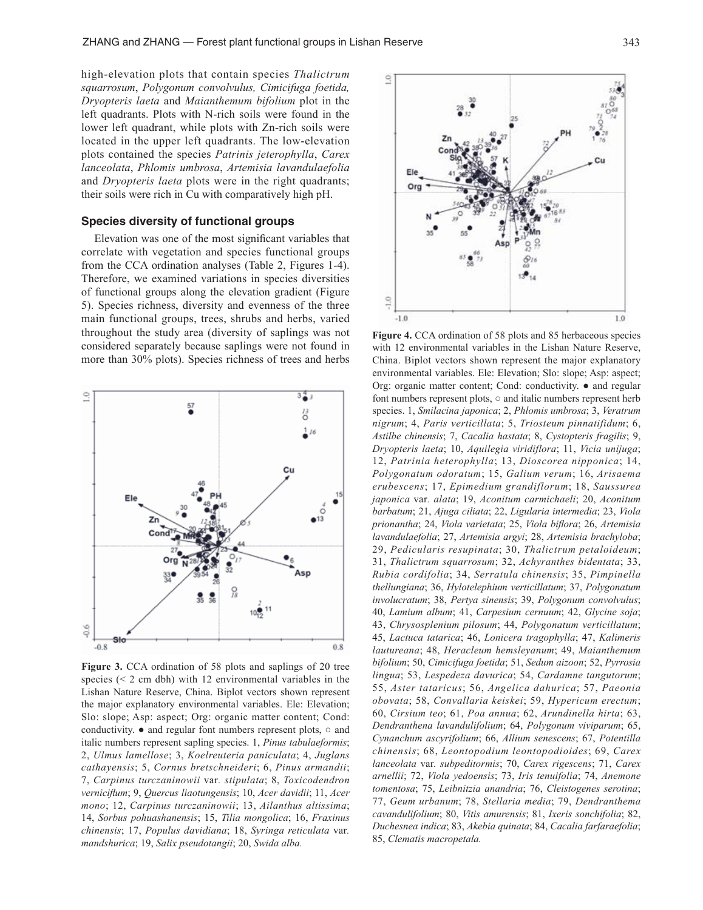high-elevation plots that contain species *Thalictrum squarrosum*, *Polygonum convolvulus, Cimicifuga foetida, Dryopteris laeta* and *Maianthemum bifolium* plot in the left quadrants. Plots with N-rich soils were found in the lower left quadrant, while plots with Zn-rich soils were located in the upper left quadrants. The low-elevation plots contained the species *Patrinis jeterophylla*, *Carex lanceolata*, *Phlomis umbrosa*, *Artemisia lavandulaefolia* and *Dryopteris laeta* plots were in the right quadrants; their soils were rich in Cu with comparatively high pH.

#### **Species diversity of functional groups**

Elevation was one of the most significant variables that correlate with vegetation and species functional groups from the CCA ordination analyses (Table 2, Figures 1-4). Therefore, we examined variations in species diversities of functional groups along the elevation gradient (Figure 5). Species richness, diversity and evenness of the three main functional groups, trees, shrubs and herbs, varied throughout the study area (diversity of saplings was not considered separately because saplings were not found in more than 30% plots). Species richness of trees and herbs



**Figure 3.** CCA ordination of 58 plots and saplings of 20 tree species  $(< 2$  cm dbh) with 12 environmental variables in the Lishan Nature Reserve, China. Biplot vectors shown represent the major explanatory environmental variables. Ele: Elevation; Slo: slope; Asp: aspect; Org: organic matter content; Cond: conductivity.  $\bullet$  and regular font numbers represent plots,  $\circ$  and italic numbers represent sapling species. 1, *Pinus tabulaeformis*; 2, *Ulmus lamellose*; 3, *Koelreuteria paniculata*; 4, *Juglans cathayensis*; 5, *Cornus bretschneideri*; 6, *Pinus armandii*; 7, *Carpinus turczaninowii* var*. stipulata*; 8, *Toxicodendron verniciflum*; 9, *Quercus liaotungensis*; 10, *Acer davidii*; 11, *Acer mono*; 12, *Carpinus turczaninowii*; 13, *Ailanthus altissima*; 14, *Sorbus pohuashanensis*; 15, *Tilia mongolica*; 16, *Fraxinus chinensis*; 17, *Populus davidiana*; 18, *Syringa reticulata* var*. mandshurica*; 19, *Salix pseudotangii*; 20, *Swida alba.*



**Figure 4.** CCA ordination of 58 plots and 85 herbaceous species with 12 environmental variables in the Lishan Nature Reserve, China. Biplot vectors shown represent the major explanatory environmental variables. Ele: Elevation; Slo: slope; Asp: aspect; Org: organic matter content; Cond: conductivity. ● and regular font numbers represent plots, ○ and italic numbers represent herb species. 1, *Smilacina japonica*; 2, *Phlomis umbrosa*; 3, *Veratrum nigrum*; 4, *Paris verticillata*; 5, *Triosteum pinnatifidum*; 6, *Astilbe chinensis*; 7, *Cacalia hastata*; 8, *Cystopteris fragilis*; 9, *Dryopteris laeta*; 10, *Aquilegia viridiflora*; 11, *Vicia unijuga*; 12, *Patrinia heterophylla*; 13, *Dioscorea nipponica*; 14, *Polygonatum odoratum*; 15, *Galium verum*; 16, *Arisaema erubescens*; 17, *Epimedium grandiflorum*; 18, *Saussurea japonica* var*. alata*; 19, *Aconitum carmichaeli*; 20, *Aconitum barbatum*; 21, *Ajuga ciliata*; 22, *Ligularia intermedia*; 23, *Viola prionantha*; 24, *Viola varietata*; 25, *Viola biflora*; 26, *Artemisia lavandulaefolia*; 27, *Artemisia argyi*; 28, *Artemisia brachyloba*; 29, *Pedicularis resupinata*; 30, *Thalictrum petaloideum*; 31, *Thalictrum squarrosum*; 32, *Achyranthes bidentata*; 33, *Rubia cordifolia*; 34, *Serratula chinensis*; 35, *Pimpinella thellungiana*; 36, *Hylotelephium verticillatum*; 37, *Polygonatum involucratum*; 38, *Pertya sinensis*; 39, *Polygonum convolvulus*; 40, *Lamium album*; 41, *Carpesium cernuum*; 42, *Glycine soja*; 43, *Chrysosplenium pilosum*; 44, *Polygonatum verticillatum*; 45, *Lactuca tatarica*; 46, *Lonicera tragophylla*; 47, *Kalimeris lautureana*; 48, *Heracleum hemsleyanum*; 49, *Maianthemum bifolium*; 50, *Cimicifuga foetida*; 51, *Sedum aizoon*; 52, *Pyrrosia lingua*; 53, *Lespedeza davurica*; 54, *Cardamne tangutorum*; 55, *Aster tataricus*; 56, *Angelica dahurica*; 57, *Paeonia obovata*; 58, *Convallaria keiskei*; 59, *Hypericum erectum*; 60, *Cirsium teo*; 61, *Poa annua*; 62, *Arundinella hirta*; 63, *Dendranthena lavandulifolium*; 64, *Polygonum viviparum*; 65, *Cynanchum ascyrifolium*; 66, *Allium senescens*; 67, *Potentilla chinensis*; 68, *Leontopodium leontopodioides*; 69, *Carex lanceolata* var*. subpeditormis*; 70, *Carex rigescens*; 71, *Carex arnellii*; 72, *Viola yedoensis*; 73, *Iris tenuifolia*; 74, *Anemone tomentosa*; 75, *Leibnitzia anandria*; 76, *Cleistogenes serotina*; 77, *Geum urbanum*; 78, *Stellaria media*; 79, *Dendranthema cavandulifolium*; 80, *Vitis amurensis*; 81, *Ixeris sonchifolia*; 82, *Duchesnea indica*; 83, *Akebia quinata*; 84, *Cacalia farfaraefolia*; 85, *Clematis macropetala.*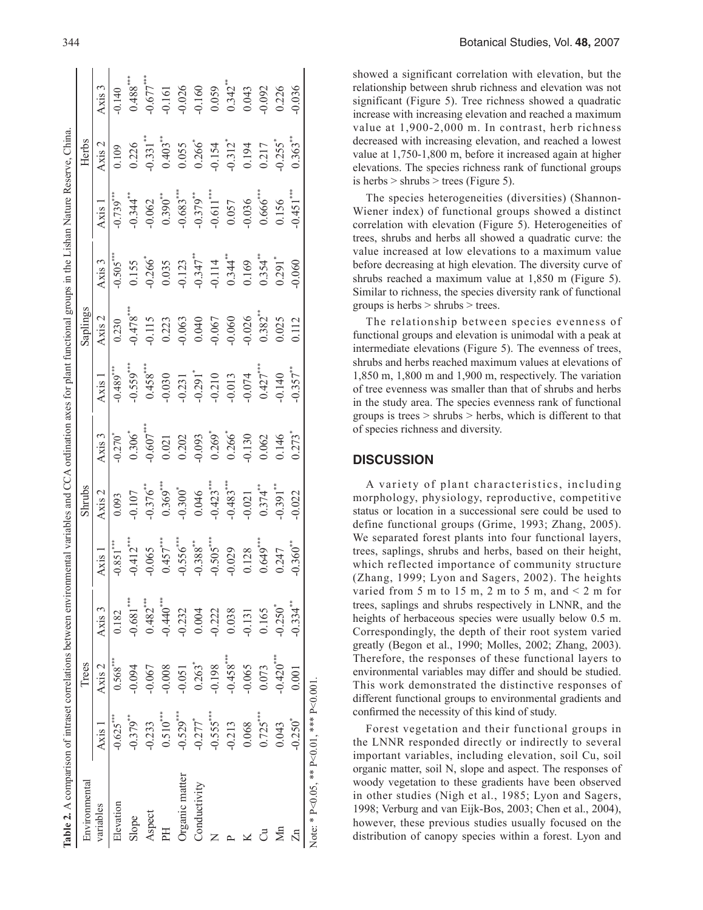| Table 2. A comparison of intraset correlations between environmental variables and CCA ordination axes for plant functional groups in the Lishan Nature Reserve, China |                       |                      |                       |               |             |                       |                       |                     |                       |                        |                                   |                                             |
|------------------------------------------------------------------------------------------------------------------------------------------------------------------------|-----------------------|----------------------|-----------------------|---------------|-------------|-----------------------|-----------------------|---------------------|-----------------------|------------------------|-----------------------------------|---------------------------------------------|
| Environmenta                                                                                                                                                           |                       | <b>Trees</b>         |                       |               | Shrubs      |                       |                       | Saplings            |                       |                        | Herbs                             |                                             |
| variables                                                                                                                                                              | <b>Axis</b>           | Axis 2               | Axis 3                | Axis          | Axis $2$    | Axis 3                | Axis 1                | Axis $2$            | Axis 3                | Axis 1                 | Axis 2                            | Axis 3                                      |
| Elevation                                                                                                                                                              | $-0.625***$           | $0.568***$           | 0.182                 | $-0.851***$   | 0.093       | $-0.270$ <sup>*</sup> | $-0.489***$           | 0.230               | $0.505***$            | $-0.739***$            | 0.109                             | $-0.140$                                    |
| Slope                                                                                                                                                                  | $-0.379***$           | $-0.094$             | $-0.681***$           | $-0.412***$   | $-0.107$    | $0.306^{*}$           | $-0.559***$           | $-0.478***$         | 0.155                 | $-0.344$ <sup>**</sup> | 0.226                             | $0.488***$                                  |
| Aspect                                                                                                                                                                 | $-0.233$              | 0.067                | $0.482***$            | $-0.065$      | $-0.376$ ** | $-0.607$ ***          | $0.458***$            | $-0.115$            | $0.266$ <sup>*</sup>  | $-0.062$               | $-0.331$                          | $-0.677***$                                 |
|                                                                                                                                                                        | $0.510***$            | 0.008                | $-0.440***$           | $0.457***$    | $0.369***$  | 0.021                 | $-0.030$              | 0.223               |                       | $0.390***$             | $0.403***$                        |                                             |
| Organic matter                                                                                                                                                         | $-0.529***$           | $-0.051$             | $-0.232$              | $-0.556***$   | $-0.300*$   | 0.202                 | 0.231                 | 0.063               | $0.035$<br>$0.123$    | $-0.683***$            | 0.055                             | $-0.161$<br>$-0.026$<br>$-0.160$<br>$0.059$ |
| Conductivity                                                                                                                                                           | $-0.277$ <sup>*</sup> | $0.263$ <sup>*</sup> | 0.004                 | $-0.388^{**}$ | 0.046       | $-0.093$              | $-0.291$ <sup>*</sup> | 0.040               | $-0.347$ **           | $-0.379***$            | $0.266^{*}$                       |                                             |
|                                                                                                                                                                        | $-0.555***$           | $-0.198$             | $-0.222$              | $-0.505***$   | $-0.423***$ | $0.269*$              |                       |                     | $-0.114$              | $-0.611***$            | $-0.154$<br>$-0.312$ <sup>*</sup> |                                             |
|                                                                                                                                                                        | $-0.213$              | $-0.458***$          | 0.038                 | $-0.029$      | $-0.483***$ | $0.266^{*}$           | $-0.210$<br>$-0.013$  | $-0.067$<br>$0.060$ | $0.344$ <sup>**</sup> | 0.057                  |                                   | $0.342***$                                  |
|                                                                                                                                                                        | 0.068                 | $-0.065$             | $-0.131$              | 0.128         | 0.021       | 0.130                 | $-0.074$              | 0.026               | 0.169                 | $-0.036$               | 0.194                             | 0.043                                       |
| ්                                                                                                                                                                      | $0.725***$            | 0.073                | 0.165                 | $0.649***$    | $0.374**$   | 0.062                 | $0.427***$            | $0.382**$           | $0.354***$            | $0.666$ ***            | 0.217                             | 0.092                                       |
| ∕a                                                                                                                                                                     | 0.043                 | $-0.420***$          | $-0.250$ <sup>*</sup> | 0.247         | $0.391***$  | 0.146                 | 0.140                 | 0.025               | $0.291$ <sup>*</sup>  | 0.156                  | $-0.255$                          | 0.226                                       |
|                                                                                                                                                                        | $-0.250$ <sup>*</sup> | 0.001                | $-0.334**$            | $-0.360**$    | 0.022       | $0.273$ <sup>*</sup>  | $-0.357***$           | 0.112               | 0.060                 | $-0.451***$            | $0.363***$                        | 0.036                                       |
| Note: * P<0.05. ** P<0.1. *** P<0.001                                                                                                                                  |                       |                      |                       |               |             |                       |                       |                     |                       |                        |                                   |                                             |

showed a significant correlation with elevation, but the relationship between shrub richness and elevation was not significant (Figure 5). Tree richness showed a quadratic increase with increasing elevation and reached a maximum value at 1,900-2,000 m. In contrast, herb richness decreased with increasing elevation, and reached a lowest value at 1,750-1,800 m, before it increased again at higher elevations. The species richness rank of functional groups is herbs  $>$  shrubs  $>$  trees (Figure 5).

The species heterogeneities (diversities) (Shannon-Wiener index) of functional groups showed a distinct correlation with elevation (Figure 5). Heterogeneities of trees, shrubs and herbs all showed a quadratic curve: the value increased at low elevations to a maximum value before decreasing at high elevation. The diversity curve of shrubs reached a maximum value at 1,850 m (Figure 5). Similar to richness, the species diversity rank of functional groups is herbs > shrubs > trees.

The relationship between species evenness of functional groups and elevation is unimodal with a peak at intermediate elevations (Figure 5). The evenness of trees, shrubs and herbs reached maximum values at elevations of 1,850 m, 1,800 m and 1,900 m, respectively. The variation of tree evenness was smaller than that of shrubs and herbs in the study area. The species evenness rank of functional groups is trees > shrubs > herbs, which is different to that of species richness and diversity.

# **DISCUSSION**

A variety of plant characteristics, including morphology, physiology, reproductive, competitive status or location in a successional sere could be used to define functional groups (Grime, 1993; Zhang, 2005). We separated forest plants into four functional layers, trees, saplings, shrubs and herbs, based on their height, which reflected importance of community structure (Zhang, 1999; Lyon and Sagers, 2002). The heights varied from 5 m to 15 m, 2 m to 5 m, and  $\leq$  2 m for trees, saplings and shrubs respectively in LNNR, and the heights of herbaceous species were usually below 0.5 m. Correspondingly, the depth of their root system varied greatly (Begon et al., 1990; Molles, 2002; Zhang, 2003). Therefore, the responses of these functional layers to environmental variables may differ and should be studied. This work demonstrated the distinctive responses of different functional groups to environmental gradients and confirmed the necessity of this kind of study.

Forest vegetation and their functional groups in the LNNR responded directly or indirectly to several important variables, including elevation, soil Cu, soil organic matter, soil N, slope and aspect. The responses of woody vegetation to these gradients have been observed in other studies (Nigh et al., 1985; Lyon and Sagers, 1998; Verburg and van Eijk-Bos, 2003; Chen et al., 2004), however, these previous studies usually focused on the distribution of canopy species within a forest. Lyon and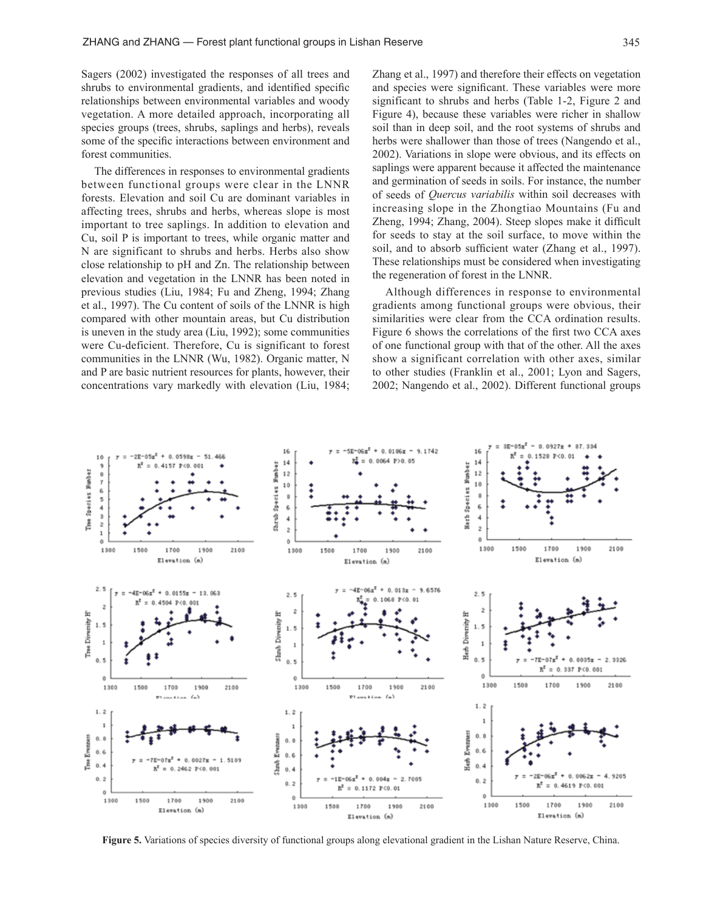Sagers (2002) investigated the responses of all trees and shrubs to environmental gradients, and identified specific relationships between environmental variables and woody vegetation. A more detailed approach, incorporating all species groups (trees, shrubs, saplings and herbs), reveals some of the specific interactions between environment and forest communities.

The differences in responses to environmental gradients between functional groups were clear in the LNNR forests. Elevation and soil Cu are dominant variables in affecting trees, shrubs and herbs, whereas slope is most important to tree saplings. In addition to elevation and Cu, soil P is important to trees, while organic matter and N are significant to shrubs and herbs. Herbs also show close relationship to pH and Zn. The relationship between elevation and vegetation in the LNNR has been noted in previous studies (Liu, 1984; Fu and Zheng, 1994; Zhang et al., 1997). The Cu content of soils of the LNNR is high compared with other mountain areas, but Cu distribution is uneven in the study area (Liu, 1992); some communities were Cu-deficient. Therefore, Cu is significant to forest communities in the LNNR (Wu, 1982). Organic matter, N and P are basic nutrient resources for plants, however, their concentrations vary markedly with elevation (Liu, 1984; Zhang et al., 1997) and therefore their effects on vegetation and species were significant. These variables were more significant to shrubs and herbs (Table 1-2, Figure 2 and Figure 4), because these variables were richer in shallow soil than in deep soil, and the root systems of shrubs and herbs were shallower than those of trees (Nangendo et al., 2002). Variations in slope were obvious, and its effects on saplings were apparent because it affected the maintenance and germination of seeds in soils. For instance, the number of seeds of *Quercus variabilis* within soil decreases with increasing slope in the Zhongtiao Mountains (Fu and Zheng, 1994; Zhang, 2004). Steep slopes make it difficult for seeds to stay at the soil surface, to move within the soil, and to absorb sufficient water (Zhang et al., 1997). These relationships must be considered when investigating the regeneration of forest in the LNNR.

Although differences in response to environmental gradients among functional groups were obvious, their similarities were clear from the CCA ordination results. Figure 6 shows the correlations of the first two CCA axes of one functional group with that of the other. All the axes show a significant correlation with other axes, similar to other studies (Franklin et al., 2001; Lyon and Sagers, 2002; Nangendo et al., 2002). Different functional groups



**Figure 5.** Variations of species diversity of functional groups along elevational gradient in the Lishan Nature Reserve, China.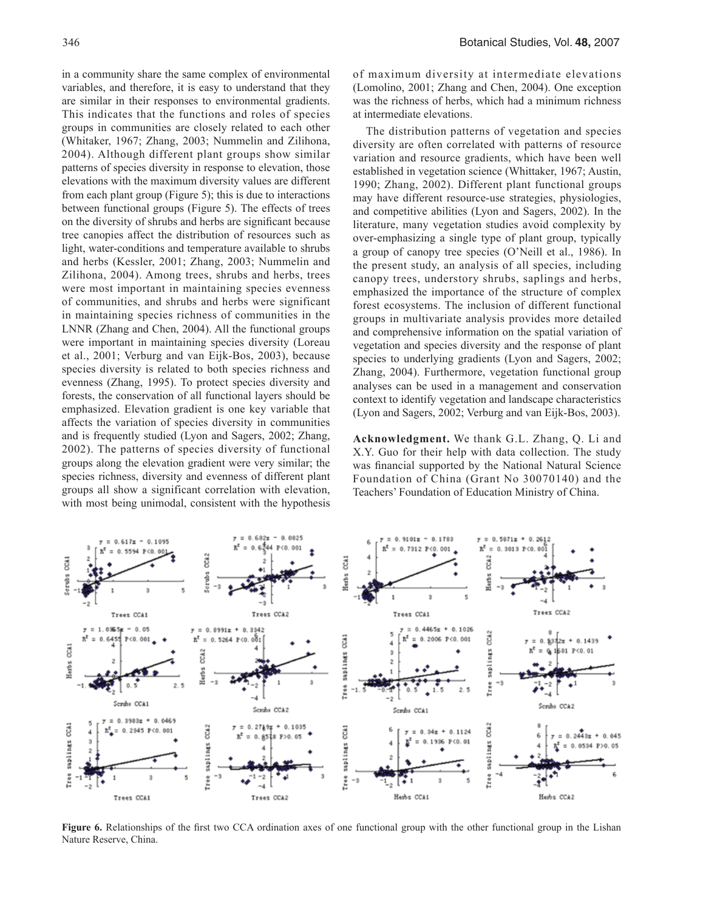in a community share the same complex of environmental variables, and therefore, it is easy to understand that they are similar in their responses to environmental gradients. This indicates that the functions and roles of species groups in communities are closely related to each other (Whitaker, 1967; Zhang, 2003; Nummelin and Zilihona, 2004). Although different plant groups show similar patterns of species diversity in response to elevation, those elevations with the maximum diversity values are different from each plant group (Figure 5); this is due to interactions between functional groups (Figure 5). The effects of trees on the diversity of shrubs and herbs are significant because tree canopies affect the distribution of resources such as light, water-conditions and temperature available to shrubs and herbs (Kessler, 2001; Zhang, 2003; Nummelin and Zilihona, 2004). Among trees, shrubs and herbs, trees were most important in maintaining species evenness of communities, and shrubs and herbs were significant in maintaining species richness of communities in the LNNR (Zhang and Chen, 2004). All the functional groups were important in maintaining species diversity (Loreau et al., 2001; Verburg and van Eijk-Bos, 2003), because species diversity is related to both species richness and evenness (Zhang, 1995). To protect species diversity and forests, the conservation of all functional layers should be emphasized. Elevation gradient is one key variable that affects the variation of species diversity in communities and is frequently studied (Lyon and Sagers, 2002; Zhang, 2002). The patterns of species diversity of functional groups along the elevation gradient were very similar; the species richness, diversity and evenness of different plant groups all show a significant correlation with elevation, with most being unimodal, consistent with the hypothesis

of maximum diversity at intermediate elevations (Lomolino, 2001; Zhang and Chen, 2004). One exception was the richness of herbs, which had a minimum richness at intermediate elevations.

The distribution patterns of vegetation and species diversity are often correlated with patterns of resource variation and resource gradients, which have been well established in vegetation science (Whittaker, 1967; Austin, 1990; Zhang, 2002). Different plant functional groups may have different resource-use strategies, physiologies, and competitive abilities (Lyon and Sagers, 2002). In the literature, many vegetation studies avoid complexity by over-emphasizing a single type of plant group, typically a group of canopy tree species (O'Neill et al., 1986). In the present study, an analysis of all species, including canopy trees, understory shrubs, saplings and herbs, emphasized the importance of the structure of complex forest ecosystems. The inclusion of different functional groups in multivariate analysis provides more detailed and comprehensive information on the spatial variation of vegetation and species diversity and the response of plant species to underlying gradients (Lyon and Sagers, 2002; Zhang, 2004). Furthermore, vegetation functional group analyses can be used in a management and conservation context to identify vegetation and landscape characteristics (Lyon and Sagers, 2002; Verburg and van Eijk-Bos, 2003).

**Acknowledgment.** We thank G.L. Zhang, Q. Li and X.Y. Guo for their help with data collection. The study was financial supported by the National Natural Science Foundation of China (Grant No 30070140) and the Teachers' Foundation of Education Ministry of China.



**Figure 6.** Relationships of the first two CCA ordination axes of one functional group with the other functional group in the Lishan Nature Reserve, China.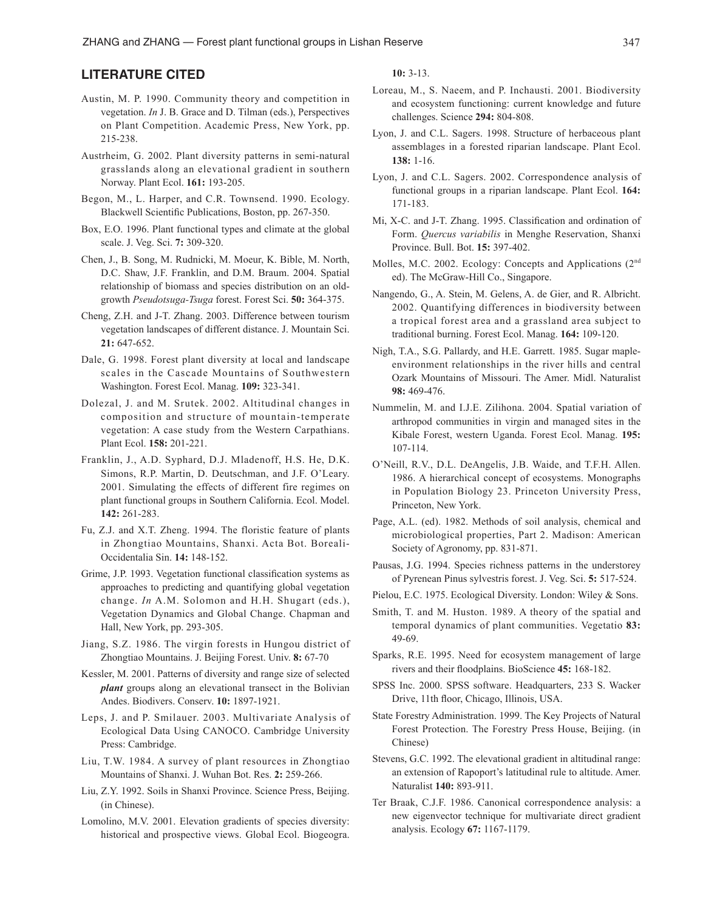# **LITERATURE CITED**

- Austin, M. P. 1990. Community theory and competition in vegetation. *In* J. B. Grace and D. Tilman (eds.), Perspectives on Plant Competition. Academic Press, New York, pp. 215-238.
- Austrheim, G. 2002. Plant diversity patterns in semi-natural grasslands along an elevational gradient in southern Norway. Plant Ecol. **161:** 193-205.
- Begon, M., L. Harper, and C.R. Townsend. 1990. Ecology. Blackwell Scientific Publications, Boston, pp. 267-350.
- Box, E.O. 1996. Plant functional types and climate at the global scale. J. Veg. Sci. **7:** 309-320.
- Chen, J., B. Song, M. Rudnicki, M. Moeur, K. Bible, M. North, D.C. Shaw, J.F. Franklin, and D.M. Braum. 2004. Spatial relationship of biomass and species distribution on an oldgrowth *Pseudotsuga-Tsuga* forest. Forest Sci. **50:** 364-375.
- Cheng, Z.H. and J-T. Zhang. 2003. Difference between tourism vegetation landscapes of different distance. J. Mountain Sci. **21:** 647-652.
- Dale, G. 1998. Forest plant diversity at local and landscape scales in the Cascade Mountains of Southwestern Washington. Forest Ecol. Manag. **109:** 323-341.
- Dolezal, J. and M. Srutek. 2002. Altitudinal changes in composition and structure of mountain-temperate vegetation: A case study from the Western Carpathians. Plant Ecol. **158:** 201-221.
- Franklin, J., A.D. Syphard, D.J. Mladenoff, H.S. He, D.K. Simons, R.P. Martin, D. Deutschman, and J.F. O'Leary. 2001. Simulating the effects of different fire regimes on plant functional groups in Southern California. Ecol. Model. **142:** 261-283.
- Fu, Z.J. and X.T. Zheng. 1994. The floristic feature of plants in Zhongtiao Mountains, Shanxi. Acta Bot. Boreali-Occidentalia Sin. **14:** 148-152.
- Grime, J.P. 1993. Vegetation functional classification systems as approaches to predicting and quantifying global vegetation change. *In* A.M. Solomon and H.H. Shugart (eds.), Vegetation Dynamics and Global Change. Chapman and Hall, New York, pp. 293-305.
- Jiang, S.Z. 1986. The virgin forests in Hungou district of Zhongtiao Mountains. J. Beijing Forest. Univ. **8:** 67-70
- Kessler, M. 2001. Patterns of diversity and range size of selected *plant* groups along an elevational transect in the Bolivian Andes. Biodivers. Conserv. **10:** 1897-1921.
- Leps, J. and P. Smilauer. 2003. Multivariate Analysis of Ecological Data Using CANOCO. Cambridge University Press: Cambridge.
- Liu, T.W. 1984. A survey of plant resources in Zhongtiao Mountains of Shanxi. J. Wuhan Bot. Res. **2:** 259-266.
- Liu, Z.Y. 1992. Soils in Shanxi Province. Science Press, Beijing. (in Chinese).
- Lomolino, M.V. 2001. Elevation gradients of species diversity: historical and prospective views. Global Ecol. Biogeogra.

**10:** 3-13.

- Loreau, M., S. Naeem, and P. Inchausti. 2001. Biodiversity and ecosystem functioning: current knowledge and future challenges. Science **294:** 804-808.
- Lyon, J. and C.L. Sagers. 1998. Structure of herbaceous plant assemblages in a forested riparian landscape. Plant Ecol. **138:** 1-16.
- Lyon, J. and C.L. Sagers. 2002. Correspondence analysis of functional groups in a riparian landscape. Plant Ecol. **164:**  171-183.
- Mi, X-C. and J-T. Zhang. 1995. Classification and ordination of Form. *Quercus variabilis* in Menghe Reservation, Shanxi Province. Bull. Bot. **15:** 397-402.
- Molles, M.C. 2002. Ecology: Concepts and Applications (2nd ed). The McGraw-Hill Co., Singapore.
- Nangendo, G., A. Stein, M. Gelens, A. de Gier, and R. Albricht. 2002. Quantifying differences in biodiversity between a tropical forest area and a grassland area subject to traditional burning. Forest Ecol. Manag. **164:** 109-120.
- Nigh, T.A., S.G. Pallardy, and H.E. Garrett. 1985. Sugar mapleenvironment relationships in the river hills and central Ozark Mountains of Missouri. The Amer. Midl. Naturalist **98:** 469-476.
- Nummelin, M. and I.J.E. Zilihona. 2004. Spatial variation of arthropod communities in virgin and managed sites in the Kibale Forest, western Uganda. Forest Ecol. Manag. **195:** 107-114.
- O'Neill, R.V., D.L. DeAngelis, J.B. Waide, and T.F.H. Allen. 1986. A hierarchical concept of ecosystems. Monographs in Population Biology 23. Princeton University Press, Princeton, New York.
- Page, A.L. (ed). 1982. Methods of soil analysis, chemical and microbiological properties, Part 2. Madison: American Society of Agronomy, pp. 831-871.
- Pausas, J.G. 1994. Species richness patterns in the understorey of Pyrenean Pinus sylvestris forest. J. Veg. Sci. **5:** 517-524.
- Pielou, E.C. 1975. Ecological Diversity. London: Wiley & Sons.
- Smith, T. and M. Huston. 1989. A theory of the spatial and temporal dynamics of plant communities. Vegetatio **83:** 49-69.
- Sparks, R.E. 1995. Need for ecosystem management of large rivers and their floodplains. BioScience **45:** 168-182.
- SPSS Inc. 2000. SPSS software. Headquarters, 233 S. Wacker Drive, 11th floor, Chicago, Illinois, USA.
- State Forestry Administration. 1999. The Key Projects of Natural Forest Protection. The Forestry Press House, Beijing. (in Chinese)
- Stevens, G.C. 1992. The elevational gradient in altitudinal range: an extension of Rapoport's latitudinal rule to altitude. Amer. Naturalist **140:** 893-911.
- Ter Braak, C.J.F. 1986. Canonical correspondence analysis: a new eigenvector technique for multivariate direct gradient analysis. Ecology **67:** 1167-1179.